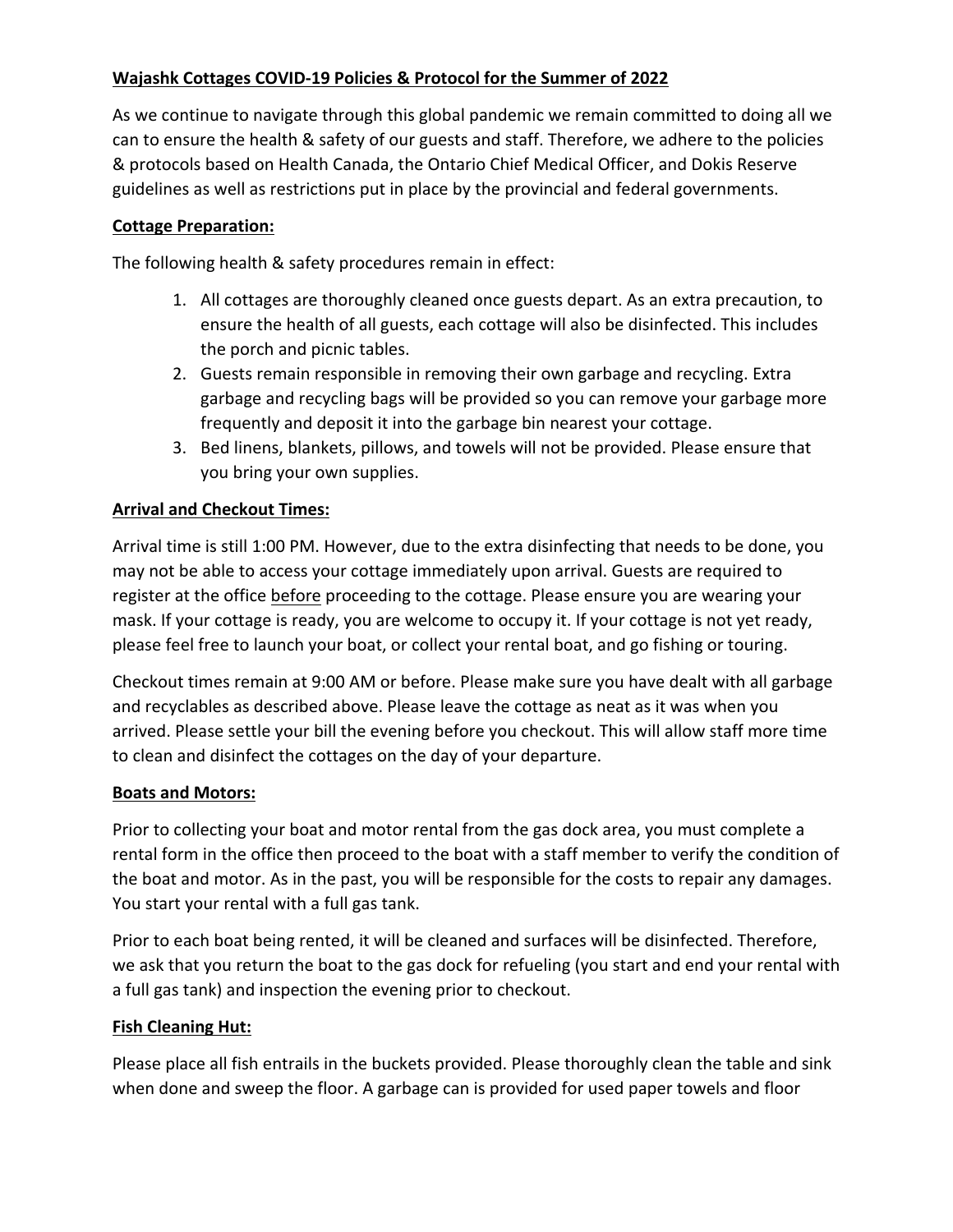## **Wajashk Cottages COVID-19 Policies & Protocol for the Summer of 2022**

As we continue to navigate through this global pandemic we remain committed to doing all we can to ensure the health & safety of our guests and staff. Therefore, we adhere to the policies & protocols based on Health Canada, the Ontario Chief Medical Officer, and Dokis Reserve guidelines as well as restrictions put in place by the provincial and federal governments.

### **Cottage Preparation:**

The following health & safety procedures remain in effect:

- 1. All cottages are thoroughly cleaned once guests depart. As an extra precaution, to ensure the health of all guests, each cottage will also be disinfected. This includes the porch and picnic tables.
- 2. Guests remain responsible in removing their own garbage and recycling. Extra garbage and recycling bags will be provided so you can remove your garbage more frequently and deposit it into the garbage bin nearest your cottage.
- 3. Bed linens, blankets, pillows, and towels will not be provided. Please ensure that you bring your own supplies.

# **Arrival and Checkout Times:**

Arrival time is still 1:00 PM. However, due to the extra disinfecting that needs to be done, you may not be able to access your cottage immediately upon arrival. Guests are required to register at the office before proceeding to the cottage. Please ensure you are wearing your mask. If your cottage is ready, you are welcome to occupy it. If your cottage is not yet ready, please feel free to launch your boat, or collect your rental boat, and go fishing or touring.

Checkout times remain at 9:00 AM or before. Please make sure you have dealt with all garbage and recyclables as described above. Please leave the cottage as neat as it was when you arrived. Please settle your bill the evening before you checkout. This will allow staff more time to clean and disinfect the cottages on the day of your departure.

#### **Boats and Motors:**

Prior to collecting your boat and motor rental from the gas dock area, you must complete a rental form in the office then proceed to the boat with a staff member to verify the condition of the boat and motor. As in the past, you will be responsible for the costs to repair any damages. You start your rental with a full gas tank.

Prior to each boat being rented, it will be cleaned and surfaces will be disinfected. Therefore, we ask that you return the boat to the gas dock for refueling (you start and end your rental with a full gas tank) and inspection the evening prior to checkout.

#### **Fish Cleaning Hut:**

Please place all fish entrails in the buckets provided. Please thoroughly clean the table and sink when done and sweep the floor. A garbage can is provided for used paper towels and floor